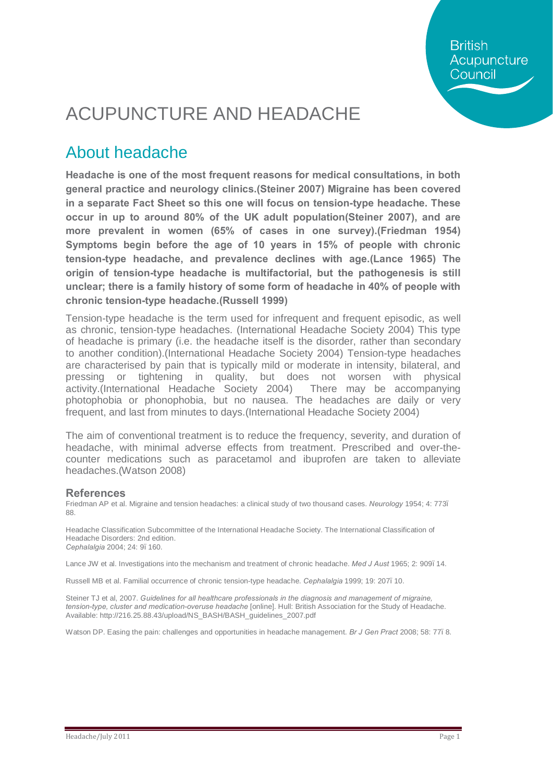**British** Acupuncture Council

## ACUPUNCTURE AND HEADACHE

### About headache

**Headache is one of the most frequent reasons for medical consultations, in both general practice and neurology clinics.(Steiner 2007) Migraine has been covered in a separate Fact Sheet so this one will focus on tension-type headache. These occur in up to around 80% of the UK adult population(Steiner 2007), and are more prevalent in women (65% of cases in one survey).(Friedman 1954) Symptoms begin before the age of 10 years in 15% of people with chronic tension-type headache, and prevalence declines with age.(Lance 1965) The origin of tension-type headache is multifactorial, but the pathogenesis is still unclear; there is a family history of some form of headache in 40% of people with chronic tension-type headache.(Russell 1999)**

Tension-type headache is the term used for infrequent and frequent episodic, as well as chronic, tension-type headaches. (International Headache Society 2004) This type of headache is primary (i.e. the headache itself is the disorder, rather than secondary to another condition).(International Headache Society 2004) Tension-type headaches are characterised by pain that is typically mild or moderate in intensity, bilateral, and pressing or tightening in quality, but does not worsen with physical activity.(International Headache Society 2004) There may be accompanying photophobia or phonophobia, but no nausea. The headaches are daily or very frequent, and last from minutes to days.(International Headache Society 2004)

The aim of conventional treatment is to reduce the frequency, severity, and duration of headache, with minimal adverse effects from treatment. Prescribed and over-thecounter medications such as paracetamol and ibuprofen are taken to alleviate headaches.(Watson 2008)

#### **References**

Friedman AP et al. Migraine and tension headaches: a clinical study of two thousand cases. *Neurology* 1954; 4: 773– 88.

Headache Classification Subcommittee of the International Headache Society. The International Classification of Headache Disorders: 2nd edition. *Cephalalgia* 2004; 24: 9–160.

Lance JW et al. Investigations into the mechanism and treatment of chronic headache. *Med J Aust* 1965; 2: 909, 14.

Russell MB et al. Familial occurrence of chronic tension-type headache. *Cephalalgia* 1999; 19: 207–10.

Steiner TJ et al, 2007. *Guidelines for all healthcare professionals in the diagnosis and management of migraine, tension-type, cluster and medication-overuse headache* [online]. Hull: British Association for the Study of Headache. Available: http://216.25.88.43/upload/NS\_BASH/BASH\_guidelines\_2007.pdf

Watson DP. Easing the pain: challenges and opportunities in headache management. *Br J Gen Pract* 2008; 58: 77–8.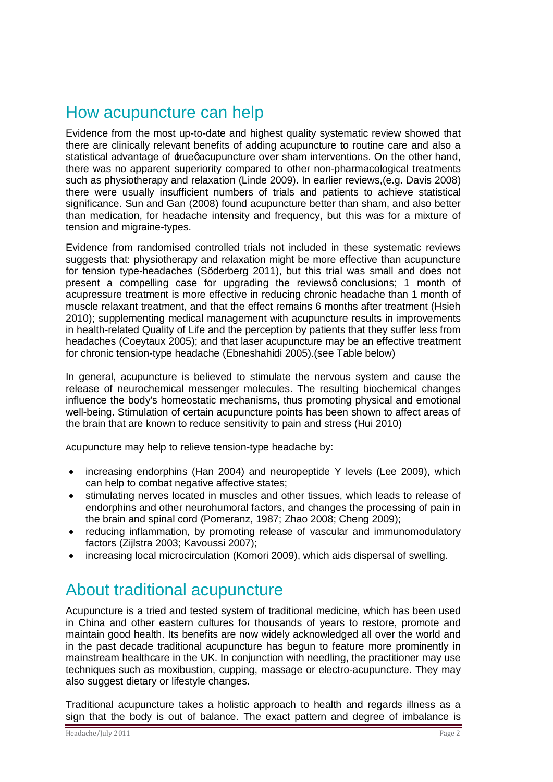#### How acupuncture can help

Evidence from the most up-to-date and highest quality systematic review showed that there are clinically relevant benefits of adding acupuncture to routine care and also a statistical advantage of  $\pm$ ruegacupuncture over sham interventions. On the other hand, there was no apparent superiority compared to other non-pharmacological treatments such as physiotherapy and relaxation (Linde 2009). In earlier reviews,(e.g. Davis 2008) there were usually insufficient numbers of trials and patients to achieve statistical significance. Sun and Gan (2008) found acupuncture better than sham, and also better than medication, for headache intensity and frequency, but this was for a mixture of tension and migraine-types.

Evidence from randomised controlled trials not included in these systematic reviews suggests that: physiotherapy and relaxation might be more effective than acupuncture for tension type-headaches (Söderberg 2011), but this trial was small and does not present a compelling case for upgrading the reviewsq conclusions; 1 month of acupressure treatment is more effective in reducing chronic headache than 1 month of muscle relaxant treatment, and that the effect remains 6 months after treatment (Hsieh 2010); supplementing medical management with acupuncture results in improvements in health-related Quality of Life and the perception by patients that they suffer less from headaches (Coeytaux 2005); and that laser acupuncture may be an effective treatment for chronic tension-type headache (Ebneshahidi 2005).(see Table below)

In general, acupuncture is believed to stimulate the nervous system and cause the release of neurochemical messenger molecules. The resulting biochemical changes influence the body's homeostatic mechanisms, thus promoting physical and emotional well-being. Stimulation of certain acupuncture points has been shown to affect areas of the brain that are known to reduce sensitivity to pain and stress (Hui 2010)

Acupuncture may help to relieve tension-type headache by:

- · increasing endorphins (Han 2004) and neuropeptide Y levels (Lee 2009), which can help to combat negative affective states;
- · stimulating nerves located in muscles and other tissues, which leads to release of endorphins and other neurohumoral factors, and changes the processing of pain in the brain and spinal cord (Pomeranz, 1987; Zhao 2008; Cheng 2009);
- · reducing inflammation, by promoting release of vascular and immunomodulatory factors (Zijlstra 2003; Kavoussi 2007);
- · increasing local microcirculation (Komori 2009), which aids dispersal of swelling.

### About traditional acupuncture

Acupuncture is a tried and tested system of traditional medicine, which has been used in China and other eastern cultures for thousands of years to restore, promote and maintain good health. Its benefits are now widely acknowledged all over the world and in the past decade traditional acupuncture has begun to feature more prominently in mainstream healthcare in the UK. In conjunction with needling, the practitioner may use techniques such as moxibustion, cupping, massage or electro-acupuncture. They may also suggest dietary or lifestyle changes.

Traditional acupuncture takes a holistic approach to health and regards illness as a sign that the body is out of balance. The exact pattern and degree of imbalance is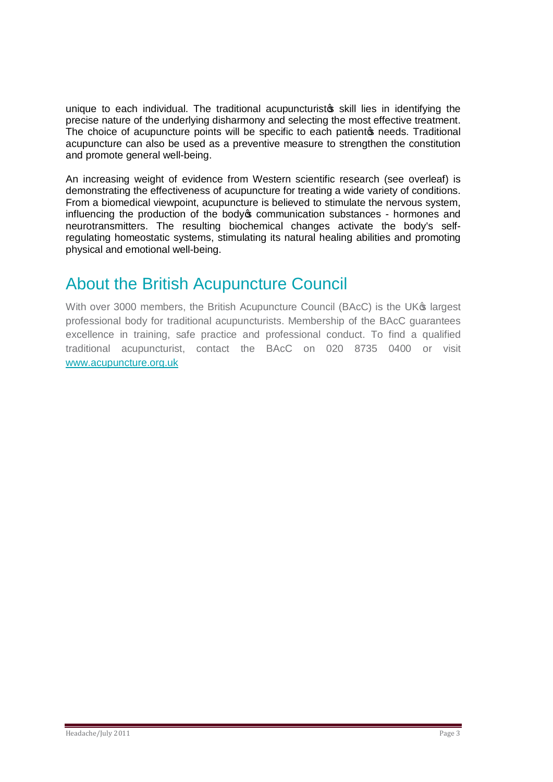unique to each individual. The traditional acupuncturisto skill lies in identifying the precise nature of the underlying disharmony and selecting the most effective treatment. The choice of acupuncture points will be specific to each patiento needs. Traditional acupuncture can also be used as a preventive measure to strengthen the constitution and promote general well-being.

An increasing weight of evidence from Western scientific research (see overleaf) is demonstrating the effectiveness of acupuncture for treating a wide variety of conditions. From a biomedical viewpoint, acupuncture is believed to stimulate the nervous system, influencing the production of the body ocommunication substances - hormones and neurotransmitters. The resulting biochemical changes activate the body's selfregulating homeostatic systems, stimulating its natural healing abilities and promoting physical and emotional well-being.

### About the British Acupuncture Council

With over 3000 members, the British Acupuncture Council (BAcC) is the UK<sup>®</sup> largest professional body for traditional acupuncturists. Membership of the BAcC guarantees excellence in training, safe practice and professional conduct. To find a qualified traditional acupuncturist, contact the BAcC on 020 8735 0400 or visit [www.acupuncture.org.uk](http://www.acupuncture.org.uk/)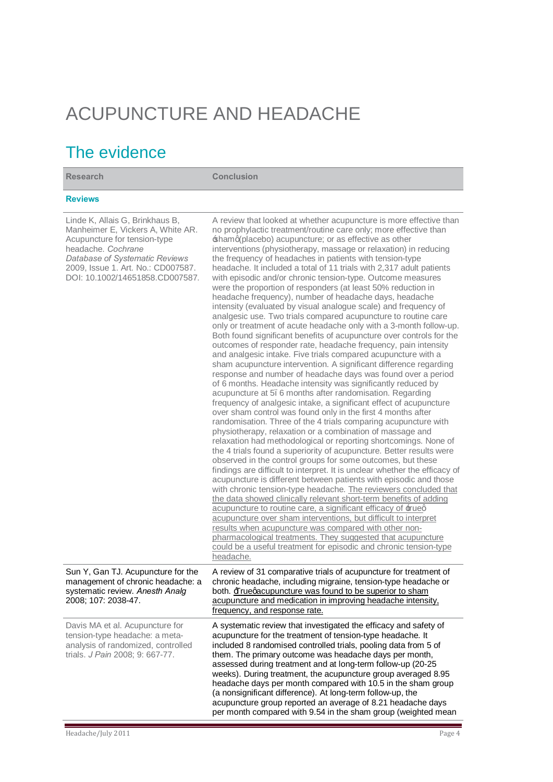# ACUPUNCTURE AND HEADACHE

### The evidence

**Research Conclusion Reviews**  Linde K, Allais G, Brinkhaus B, Manheimer E, Vickers A, White AR. Acupuncture for tension-type headache. *Cochrane Database of Systematic Reviews*  2009, Issue 1. Art. No.: CD007587. DOI: 10.1002/14651858.CD007587. A review that looked at whether acupuncture is more effective than no prophylactic treatment/routine care only; more effective than  $shamq(placebo)$  acupuncture; or as effective as other interventions (physiotherapy, massage or relaxation) in reducing the frequency of headaches in patients with tension-type headache. It included a total of 11 trials with 2,317 adult patients with episodic and/or chronic tension-type. Outcome measures were the proportion of responders (at least 50% reduction in headache frequency), number of headache days, headache intensity (evaluated by visual analogue scale) and frequency of analgesic use. Two trials compared acupuncture to routine care only or treatment of acute headache only with a 3-month follow-up. Both found significant benefits of acupuncture over controls for the outcomes of responder rate, headache frequency, pain intensity and analgesic intake. Five trials compared acupuncture with a sham acupuncture intervention. A significant difference regarding response and number of headache days was found over a period of 6 months. Headache intensity was significantly reduced by acupuncture at 5–6 months after randomisation. Regarding frequency of analgesic intake, a significant effect of acupuncture over sham control was found only in the first 4 months after randomisation. Three of the 4 trials comparing acupuncture with physiotherapy, relaxation or a combination of massage and relaxation had methodological or reporting shortcomings. None of the 4 trials found a superiority of acupuncture. Better results were observed in the control groups for some outcomes, but these findings are difficult to interpret. It is unclear whether the efficacy of acupuncture is different between patients with episodic and those with chronic tension-type headache. The reviewers concluded that the data showed clinically relevant short-term benefits of adding acupuncture to routine care, a significant efficacy of  $\pm$ ueg acupuncture over sham interventions, but difficult to interpret results when acupuncture was compared with other nonpharmacological treatments. They suggested that acupuncture could be a useful treatment for episodic and chronic tension-type headache. Sun Y, Gan TJ. Acupuncture for the management of chronic headache: a systematic review. *Anesth Analg* 2008; 107: 2038-47. A review of 31 comparative trials of acupuncture for treatment of chronic headache, including migraine, tension-type headache or both.  $\overline{\text{H}}$  ruegacupuncture was found to be superior to sham acupuncture and medication in improving headache intensity, frequency, and response rate. Davis MA et al. Acupuncture for tension-type headache: a metaanalysis of randomized, controlled trials. *J Pain* 2008; 9: 667-77. A systematic review that investigated the efficacy and safety of acupuncture for the treatment of tension-type headache. It included 8 randomised controlled trials, pooling data from 5 of them. The primary outcome was headache days per month, assessed during treatment and at long-term follow-up (20-25 weeks). During treatment, the acupuncture group averaged 8.95 headache days per month compared with 10.5 in the sham group (a nonsignificant difference). At long-term follow-up, the acupuncture group reported an average of 8.21 headache days per month compared with 9.54 in the sham group (weighted mean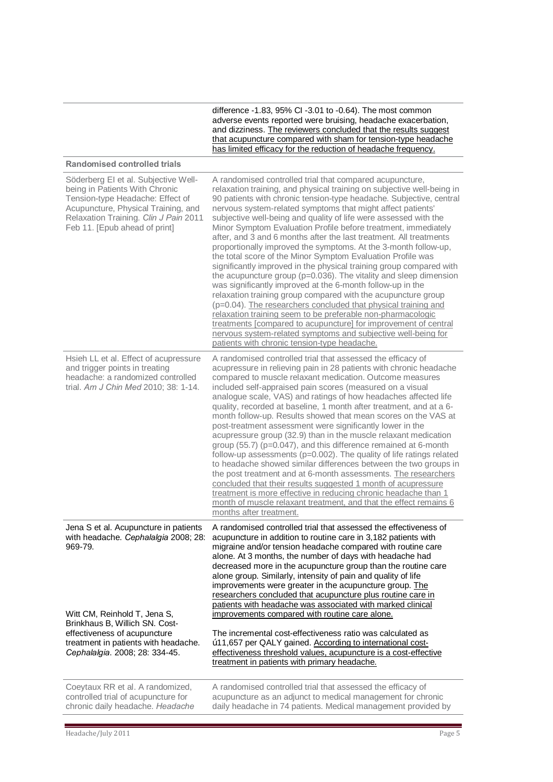|                                                                                                                                                                                                                                                                      | difference -1.83, 95% CI -3.01 to -0.64). The most common<br>adverse events reported were bruising, headache exacerbation,<br>and dizziness. The reviewers concluded that the results suggest<br>that acupuncture compared with sham for tension-type headache<br>has limited efficacy for the reduction of headache frequency.                                                                                                                                                                                                                                                                                                                                                                                                                                                                                                                                                                                                                                                                                                                                                                                                                                                                                        |
|----------------------------------------------------------------------------------------------------------------------------------------------------------------------------------------------------------------------------------------------------------------------|------------------------------------------------------------------------------------------------------------------------------------------------------------------------------------------------------------------------------------------------------------------------------------------------------------------------------------------------------------------------------------------------------------------------------------------------------------------------------------------------------------------------------------------------------------------------------------------------------------------------------------------------------------------------------------------------------------------------------------------------------------------------------------------------------------------------------------------------------------------------------------------------------------------------------------------------------------------------------------------------------------------------------------------------------------------------------------------------------------------------------------------------------------------------------------------------------------------------|
| <b>Randomised controlled trials</b>                                                                                                                                                                                                                                  |                                                                                                                                                                                                                                                                                                                                                                                                                                                                                                                                                                                                                                                                                                                                                                                                                                                                                                                                                                                                                                                                                                                                                                                                                        |
| Söderberg EI et al. Subjective Well-<br>being in Patients With Chronic<br>Tension-type Headache: Effect of<br>Acupuncture, Physical Training, and<br>Relaxation Training. Clin J Pain 2011<br>Feb 11. [Epub ahead of print]                                          | A randomised controlled trial that compared acupuncture,<br>relaxation training, and physical training on subjective well-being in<br>90 patients with chronic tension-type headache. Subjective, central<br>nervous system-related symptoms that might affect patients'<br>subjective well-being and quality of life were assessed with the<br>Minor Symptom Evaluation Profile before treatment, immediately<br>after, and 3 and 6 months after the last treatment. All treatments<br>proportionally improved the symptoms. At the 3-month follow-up,<br>the total score of the Minor Symptom Evaluation Profile was<br>significantly improved in the physical training group compared with<br>the acupuncture group (p=0.036). The vitality and sleep dimension<br>was significantly improved at the 6-month follow-up in the<br>relaxation training group compared with the acupuncture group<br>(p=0.04). The researchers concluded that physical training and<br>relaxation training seem to be preferable non-pharmacologic<br>treatments [compared to acupuncture] for improvement of central<br>nervous system-related symptoms and subjective well-being for<br>patients with chronic tension-type headache. |
| Hsieh LL et al. Effect of acupressure<br>and trigger points in treating<br>headache: a randomized controlled<br>trial. Am J Chin Med 2010; 38: 1-14.                                                                                                                 | A randomised controlled trial that assessed the efficacy of<br>acupressure in relieving pain in 28 patients with chronic headache<br>compared to muscle relaxant medication. Outcome measures<br>included self-appraised pain scores (measured on a visual<br>analogue scale, VAS) and ratings of how headaches affected life<br>quality, recorded at baseline, 1 month after treatment, and at a 6-<br>month follow-up. Results showed that mean scores on the VAS at<br>post-treatment assessment were significantly lower in the<br>acupressure group (32.9) than in the muscle relaxant medication<br>group (55.7) (p=0.047), and this difference remained at 6-month<br>follow-up assessments (p=0.002). The quality of life ratings related<br>to headache showed similar differences between the two groups in<br>the post treatment and at 6-month assessments. The researchers<br>concluded that their results suggested 1 month of acupressure<br>treatment is more effective in reducing chronic headache than 1<br>month of muscle relaxant treatment, and that the effect remains 6<br>months after treatment.                                                                                            |
| Jena S et al. Acupuncture in patients<br>with headache. Cephalalgia 2008; 28:<br>969-79.<br>Witt CM, Reinhold T, Jena S,<br>Brinkhaus B, Willich SN. Cost-<br>effectiveness of acupuncture<br>treatment in patients with headache.<br>Cephalalgia. 2008; 28: 334-45. | A randomised controlled trial that assessed the effectiveness of<br>acupuncture in addition to routine care in 3,182 patients with<br>migraine and/or tension headache compared with routine care<br>alone. At 3 months, the number of days with headache had<br>decreased more in the acupuncture group than the routine care<br>alone group. Similarly, intensity of pain and quality of life<br>improvements were greater in the acupuncture group. The<br>researchers concluded that acupuncture plus routine care in<br>patients with headache was associated with marked clinical<br>improvements compared with routine care alone.<br>The incremental cost-effectiveness ratio was calculated as<br>"11,657 per QALY gained. According to international cost-<br>effectiveness threshold values, acupuncture is a cost-effective<br>treatment in patients with primary headache.                                                                                                                                                                                                                                                                                                                                |
| Coeytaux RR et al. A randomized,<br>controlled trial of acupuncture for<br>chronic daily headache. Headache                                                                                                                                                          | A randomised controlled trial that assessed the efficacy of<br>acupuncture as an adjunct to medical management for chronic<br>daily headache in 74 patients. Medical management provided by                                                                                                                                                                                                                                                                                                                                                                                                                                                                                                                                                                                                                                                                                                                                                                                                                                                                                                                                                                                                                            |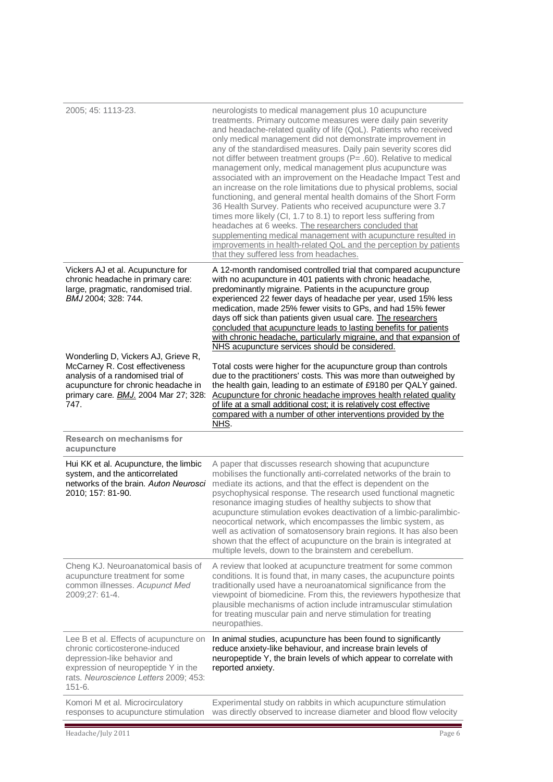| 2005; 45: 1113-23.                                                                                                                                                                                       | neurologists to medical management plus 10 acupuncture<br>treatments. Primary outcome measures were daily pain severity<br>and headache-related quality of life (QoL). Patients who received<br>only medical management did not demonstrate improvement in<br>any of the standardised measures. Daily pain severity scores did<br>not differ between treatment groups (P= .60). Relative to medical<br>management only, medical management plus acupuncture was<br>associated with an improvement on the Headache Impact Test and<br>an increase on the role limitations due to physical problems, social<br>functioning, and general mental health domains of the Short Form<br>36 Health Survey. Patients who received acupuncture were 3.7<br>times more likely (CI, 1.7 to 8.1) to report less suffering from<br>headaches at 6 weeks. The researchers concluded that<br>supplementing medical management with acupuncture resulted in<br>improvements in health-related QoL and the perception by patients<br>that they suffered less from headaches. |
|----------------------------------------------------------------------------------------------------------------------------------------------------------------------------------------------------------|------------------------------------------------------------------------------------------------------------------------------------------------------------------------------------------------------------------------------------------------------------------------------------------------------------------------------------------------------------------------------------------------------------------------------------------------------------------------------------------------------------------------------------------------------------------------------------------------------------------------------------------------------------------------------------------------------------------------------------------------------------------------------------------------------------------------------------------------------------------------------------------------------------------------------------------------------------------------------------------------------------------------------------------------------------|
| Vickers AJ et al. Acupuncture for<br>chronic headache in primary care:<br>large, pragmatic, randomised trial.<br>BMJ 2004; 328: 744.                                                                     | A 12-month randomised controlled trial that compared acupuncture<br>with no acupuncture in 401 patients with chronic headache,<br>predominantly migraine. Patients in the acupuncture group<br>experienced 22 fewer days of headache per year, used 15% less<br>medication, made 25% fewer visits to GPs, and had 15% fewer<br>days off sick than patients given usual care. The researchers<br>concluded that acupuncture leads to lasting benefits for patients<br>with chronic headache, particularly migraine, and that expansion of<br>NHS acupuncture services should be considered.                                                                                                                                                                                                                                                                                                                                                                                                                                                                 |
| Wonderling D, Vickers AJ, Grieve R,<br>McCarney R. Cost effectiveness<br>analysis of a randomised trial of<br>acupuncture for chronic headache in<br>primary care. <b>BMJ.</b> 2004 Mar 27; 328:<br>747. | Total costs were higher for the acupuncture group than controls<br>due to the practitioners' costs. This was more than outweighed by<br>the health gain, leading to an estimate of £9180 per QALY gained.<br>Acupuncture for chronic headache improves health related quality<br>of life at a small additional cost; it is relatively cost effective<br>compared with a number of other interventions provided by the<br>NHS.                                                                                                                                                                                                                                                                                                                                                                                                                                                                                                                                                                                                                              |
| <b>Research on mechanisms for</b><br>acupuncture                                                                                                                                                         |                                                                                                                                                                                                                                                                                                                                                                                                                                                                                                                                                                                                                                                                                                                                                                                                                                                                                                                                                                                                                                                            |
| Hui KK et al. Acupuncture, the limbic<br>system, and the anticorrelated<br>networks of the brain. Auton Neurosci<br>2010; 157: 81-90.                                                                    | A paper that discusses research showing that acupuncture<br>mobilises the functionally anti-correlated networks of the brain to<br>mediate its actions, and that the effect is dependent on the<br>psychophysical response. The research used functional magnetic<br>resonance imaging studies of healthy subjects to show that<br>acupuncture stimulation evokes deactivation of a limbic-paralimbic-<br>neocortical network, which encompasses the limbic system, as<br>well as activation of somatosensory brain regions. It has also been<br>shown that the effect of acupuncture on the brain is integrated at<br>multiple levels, down to the brainstem and cerebellum.                                                                                                                                                                                                                                                                                                                                                                              |
| Cheng KJ. Neuroanatomical basis of<br>acupuncture treatment for some<br>common illnesses. Acupunct Med<br>2009;27: 61-4.                                                                                 | A review that looked at acupuncture treatment for some common<br>conditions. It is found that, in many cases, the acupuncture points<br>traditionally used have a neuroanatomical significance from the<br>viewpoint of biomedicine. From this, the reviewers hypothesize that<br>plausible mechanisms of action include intramuscular stimulation<br>for treating muscular pain and nerve stimulation for treating<br>neuropathies.                                                                                                                                                                                                                                                                                                                                                                                                                                                                                                                                                                                                                       |
| Lee B et al. Effects of acupuncture on<br>chronic corticosterone-induced<br>depression-like behavior and<br>expression of neuropeptide Y in the<br>rats. Neuroscience Letters 2009; 453:<br>$151 - 6.$   | In animal studies, acupuncture has been found to significantly<br>reduce anxiety-like behaviour, and increase brain levels of<br>neuropeptide Y, the brain levels of which appear to correlate with<br>reported anxiety.                                                                                                                                                                                                                                                                                                                                                                                                                                                                                                                                                                                                                                                                                                                                                                                                                                   |
| Komori M et al. Microcirculatory<br>responses to acupuncture stimulation                                                                                                                                 | Experimental study on rabbits in which acupuncture stimulation<br>was directly observed to increase diameter and blood flow velocity                                                                                                                                                                                                                                                                                                                                                                                                                                                                                                                                                                                                                                                                                                                                                                                                                                                                                                                       |